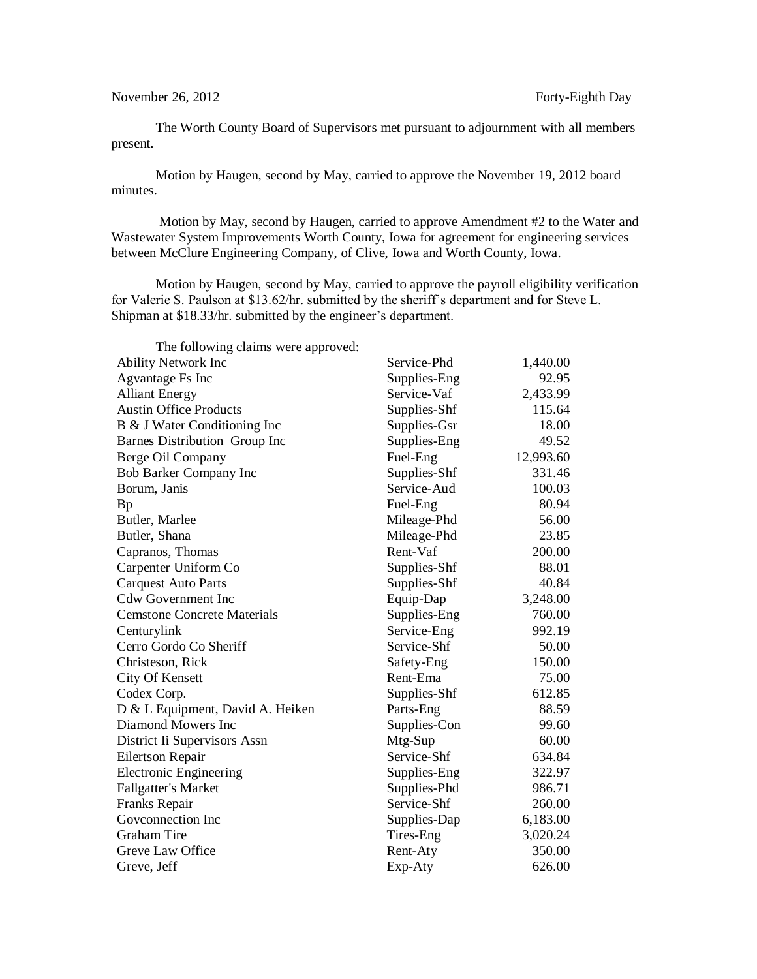The Worth County Board of Supervisors met pursuant to adjournment with all members present.

Motion by Haugen, second by May, carried to approve the November 19, 2012 board minutes.

Motion by May, second by Haugen, carried to approve Amendment #2 to the Water and Wastewater System Improvements Worth County, Iowa for agreement for engineering services between McClure Engineering Company, of Clive, Iowa and Worth County, Iowa.

Motion by Haugen, second by May, carried to approve the payroll eligibility verification for Valerie S. Paulson at \$13.62/hr. submitted by the sheriff's department and for Steve L. Shipman at \$18.33/hr. submitted by the engineer's department.

| The following claims were approved: |              |           |
|-------------------------------------|--------------|-----------|
| <b>Ability Network Inc</b>          | Service-Phd  | 1,440.00  |
| Agvantage Fs Inc                    | Supplies-Eng | 92.95     |
| <b>Alliant Energy</b>               | Service-Vaf  | 2,433.99  |
| <b>Austin Office Products</b>       | Supplies-Shf | 115.64    |
| B & J Water Conditioning Inc        | Supplies-Gsr | 18.00     |
| Barnes Distribution Group Inc       | Supplies-Eng | 49.52     |
| Berge Oil Company                   | Fuel-Eng     | 12,993.60 |
| Bob Barker Company Inc              | Supplies-Shf | 331.46    |
| Borum, Janis                        | Service-Aud  | 100.03    |
| Bp                                  | Fuel-Eng     | 80.94     |
| Butler, Marlee                      | Mileage-Phd  | 56.00     |
| Butler, Shana                       | Mileage-Phd  | 23.85     |
| Capranos, Thomas                    | Rent-Vaf     | 200.00    |
| Carpenter Uniform Co                | Supplies-Shf | 88.01     |
| <b>Carquest Auto Parts</b>          | Supplies-Shf | 40.84     |
| <b>Cdw Government Inc</b>           | Equip-Dap    | 3,248.00  |
| <b>Cemstone Concrete Materials</b>  | Supplies-Eng | 760.00    |
| Centurylink                         | Service-Eng  | 992.19    |
| Cerro Gordo Co Sheriff              | Service-Shf  | 50.00     |
| Christeson, Rick                    | Safety-Eng   | 150.00    |
| <b>City Of Kensett</b>              | Rent-Ema     | 75.00     |
| Codex Corp.                         | Supplies-Shf | 612.85    |
| D & L Equipment, David A. Heiken    | Parts-Eng    | 88.59     |
| Diamond Mowers Inc                  | Supplies-Con | 99.60     |
| District Ii Supervisors Assn        | Mtg-Sup      | 60.00     |
| <b>Eilertson Repair</b>             | Service-Shf  | 634.84    |
| <b>Electronic Engineering</b>       | Supplies-Eng | 322.97    |
| <b>Fallgatter's Market</b>          | Supplies-Phd | 986.71    |
| Franks Repair                       | Service-Shf  | 260.00    |
| Goveonnection Inc                   | Supplies-Dap | 6,183.00  |
| <b>Graham Tire</b>                  | Tires-Eng    | 3,020.24  |
| Greve Law Office                    | Rent-Aty     | 350.00    |
| Greve, Jeff                         | Exp-Aty      | 626.00    |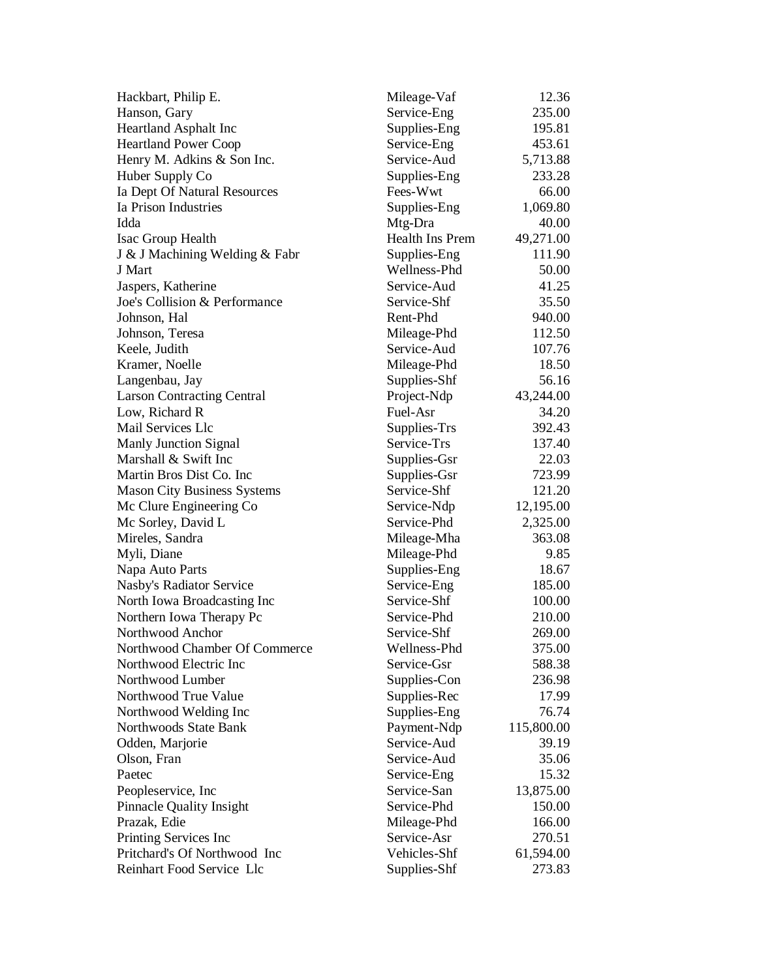| Hackbart, Philip E.                | Mileage-Vaf            | 12.36      |
|------------------------------------|------------------------|------------|
| Hanson, Gary                       | Service-Eng            | 235.00     |
| Heartland Asphalt Inc              | Supplies-Eng           | 195.81     |
| <b>Heartland Power Coop</b>        | Service-Eng            | 453.61     |
| Henry M. Adkins & Son Inc.         | Service-Aud            | 5,713.88   |
| Huber Supply Co                    | Supplies-Eng           | 233.28     |
| Ia Dept Of Natural Resources       | Fees-Wwt               | 66.00      |
| Ia Prison Industries               | Supplies-Eng           | 1,069.80   |
| Idda                               | Mtg-Dra                | 40.00      |
| Isac Group Health                  | <b>Health Ins Prem</b> | 49,271.00  |
| J & J Machining Welding & Fabr     | Supplies-Eng           | 111.90     |
| J Mart                             | Wellness-Phd           | 50.00      |
| Jaspers, Katherine                 | Service-Aud            | 41.25      |
| Joe's Collision & Performance      | Service-Shf            | 35.50      |
| Johnson, Hal                       | Rent-Phd               | 940.00     |
| Johnson, Teresa                    | Mileage-Phd            | 112.50     |
| Keele, Judith                      | Service-Aud            | 107.76     |
| Kramer, Noelle                     | Mileage-Phd            | 18.50      |
| Langenbau, Jay                     | Supplies-Shf           | 56.16      |
| <b>Larson Contracting Central</b>  | Project-Ndp            | 43,244.00  |
| Low, Richard R                     | Fuel-Asr               | 34.20      |
| Mail Services Llc                  | Supplies-Trs           | 392.43     |
| Manly Junction Signal              | Service-Trs            | 137.40     |
| Marshall & Swift Inc               | Supplies-Gsr           | 22.03      |
| Martin Bros Dist Co. Inc           | Supplies-Gsr           | 723.99     |
| <b>Mason City Business Systems</b> | Service-Shf            | 121.20     |
| Mc Clure Engineering Co            | Service-Ndp            | 12,195.00  |
| Mc Sorley, David L                 | Service-Phd            | 2,325.00   |
| Mireles, Sandra                    | Mileage-Mha            | 363.08     |
| Myli, Diane                        | Mileage-Phd            | 9.85       |
| Napa Auto Parts                    | Supplies-Eng           | 18.67      |
| Nasby's Radiator Service           | Service-Eng            | 185.00     |
| North Iowa Broadcasting Inc        | Service-Shf            | 100.00     |
| Northern Iowa Therapy Pc           | Service-Phd            | 210.00     |
| Northwood Anchor                   | Service-Shf            | 269.00     |
| Northwood Chamber Of Commerce      | Wellness-Phd           | 375.00     |
| Northwood Electric Inc             | Service-Gsr            | 588.38     |
| Northwood Lumber                   | Supplies-Con           | 236.98     |
| Northwood True Value               | Supplies-Rec           | 17.99      |
| Northwood Welding Inc              | Supplies-Eng           | 76.74      |
| Northwoods State Bank              | Payment-Ndp            | 115,800.00 |
| Odden, Marjorie                    | Service-Aud            | 39.19      |
| Olson, Fran                        | Service-Aud            | 35.06      |
| Paetec                             | Service-Eng            | 15.32      |
| Peopleservice, Inc                 | Service-San            | 13,875.00  |
| <b>Pinnacle Quality Insight</b>    | Service-Phd            | 150.00     |
| Prazak, Edie                       | Mileage-Phd            | 166.00     |
| Printing Services Inc              | Service-Asr            | 270.51     |
| Pritchard's Of Northwood Inc       | Vehicles-Shf           | 61,594.00  |
| Reinhart Food Service Llc          | Supplies-Shf           | 273.83     |